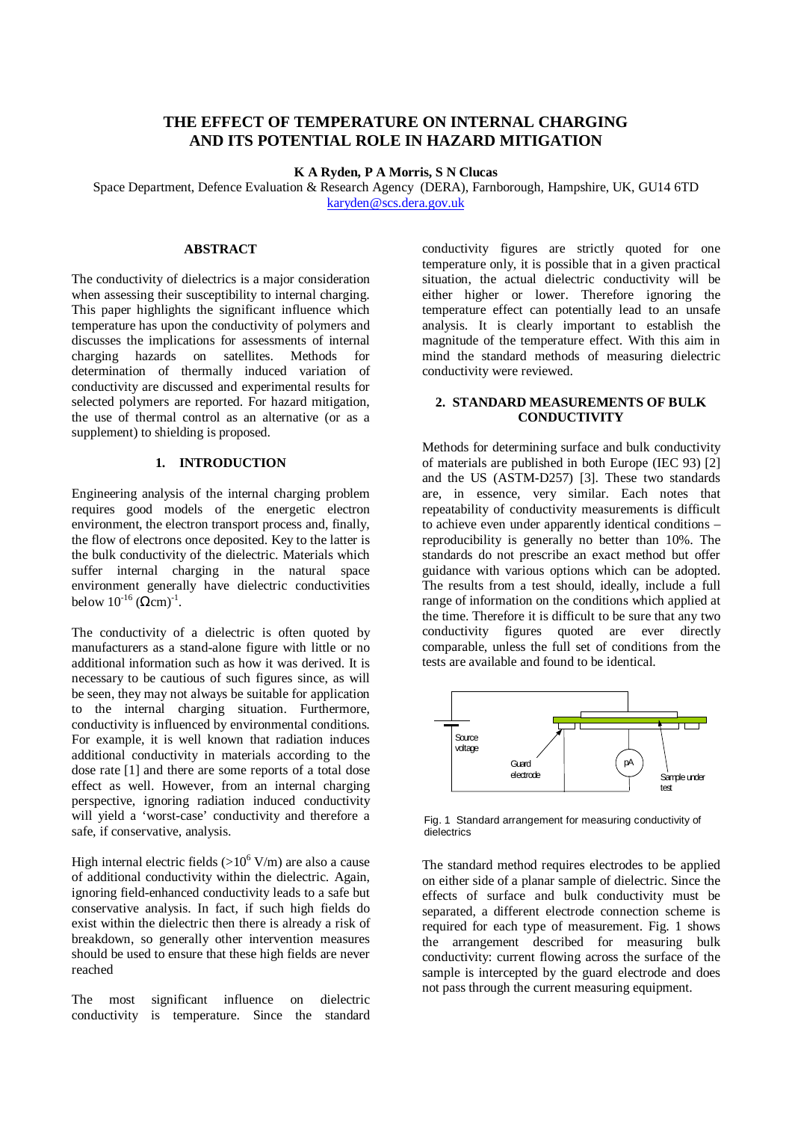# **THE EFFECT OF TEMPERATURE ON INTERNAL CHARGING AND ITS POTENTIAL ROLE IN HAZARD MITIGATION**

**K A Ryden, P A Morris, S N Clucas**

Space Department, Defence Evaluation & Research Agency (DERA), Farnborough, Hampshire, UK, GU14 6TD karyden@scs.dera.gov.uk

## **ABSTRACT**

The conductivity of dielectrics is a major consideration when assessing their susceptibility to internal charging. This paper highlights the significant influence which temperature has upon the conductivity of polymers and discusses the implications for assessments of internal charging hazards on satellites. Methods for determination of thermally induced variation of conductivity are discussed and experimental results for selected polymers are reported. For hazard mitigation, the use of thermal control as an alternative (or as a supplement) to shielding is proposed.

#### **1. INTRODUCTION**

Engineering analysis of the internal charging problem requires good models of the energetic electron environment, the electron transport process and, finally, the flow of electrons once deposited. Key to the latter is the bulk conductivity of the dielectric. Materials which suffer internal charging in the natural space environment generally have dielectric conductivities below  $10^{-16}$  (Ωcm)<sup>-1</sup>.

The conductivity of a dielectric is often quoted by manufacturers as a stand-alone figure with little or no additional information such as how it was derived. It is necessary to be cautious of such figures since, as will be seen, they may not always be suitable for application to the internal charging situation. Furthermore, conductivity is influenced by environmental conditions. For example, it is well known that radiation induces additional conductivity in materials according to the dose rate [1] and there are some reports of a total dose effect as well. However, from an internal charging perspective, ignoring radiation induced conductivity will yield a 'worst-case' conductivity and therefore a safe, if conservative, analysis.

High internal electric fields  $(>10^6$  V/m) are also a cause of additional conductivity within the dielectric. Again, ignoring field-enhanced conductivity leads to a safe but conservative analysis. In fact, if such high fields do exist within the dielectric then there is already a risk of breakdown, so generally other intervention measures should be used to ensure that these high fields are never reached

The most significant influence on dielectric conductivity is temperature. Since the standard conductivity figures are strictly quoted for one temperature only, it is possible that in a given practical situation, the actual dielectric conductivity will be either higher or lower. Therefore ignoring the temperature effect can potentially lead to an unsafe analysis. It is clearly important to establish the magnitude of the temperature effect. With this aim in mind the standard methods of measuring dielectric conductivity were reviewed.

## **2. STANDARD MEASUREMENTS OF BULK CONDUCTIVITY**

Methods for determining surface and bulk conductivity of materials are published in both Europe (IEC 93) [2] and the US (ASTM-D257) [3]. These two standards are, in essence, very similar. Each notes that repeatability of conductivity measurements is difficult to achieve even under apparently identical conditions – reproducibility is generally no better than 10%. The standards do not prescribe an exact method but offer guidance with various options which can be adopted. The results from a test should, ideally, include a full range of information on the conditions which applied at the time. Therefore it is difficult to be sure that any two conductivity figures quoted are ever directly comparable, unless the full set of conditions from the tests are available and found to be identical.



Fig. 1 Standard arrangement for measuring conductivity of dielectrics

The standard method requires electrodes to be applied on either side of a planar sample of dielectric. Since the effects of surface and bulk conductivity must be separated, a different electrode connection scheme is required for each type of measurement. Fig. 1 shows the arrangement described for measuring bulk conductivity: current flowing across the surface of the sample is intercepted by the guard electrode and does not pass through the current measuring equipment.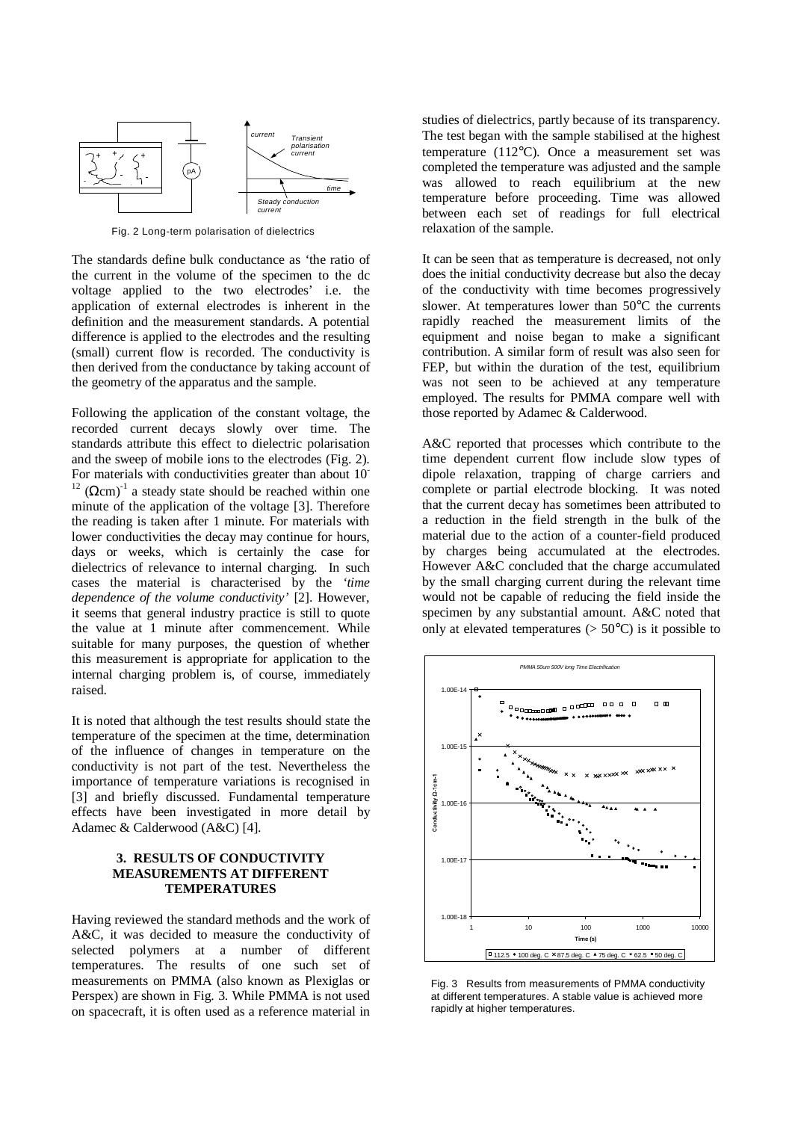

Fig. 2 Long-term polarisation of dielectrics

The standards define bulk conductance as 'the ratio of the current in the volume of the specimen to the dc voltage applied to the two electrodes' i.e. the application of external electrodes is inherent in the definition and the measurement standards. A potential difference is applied to the electrodes and the resulting (small) current flow is recorded. The conductivity is then derived from the conductance by taking account of the geometry of the apparatus and the sample.

Following the application of the constant voltage, the recorded current decays slowly over time. The standards attribute this effect to dielectric polarisation and the sweep of mobile ions to the electrodes (Fig. 2). For materials with conductivities greater than about 10<sup>-</sup> <sup>12</sup> ( $\Omega$ cm)<sup>-1</sup> a steady state should be reached within one minute of the application of the voltage [3]. Therefore the reading is taken after 1 minute. For materials with lower conductivities the decay may continue for hours, days or weeks, which is certainly the case for dielectrics of relevance to internal charging. In such cases the material is characterised by the *'time dependence of the volume conductivity'* [2]. However, it seems that general industry practice is still to quote the value at 1 minute after commencement. While suitable for many purposes, the question of whether this measurement is appropriate for application to the internal charging problem is, of course, immediately raised.

It is noted that although the test results should state the temperature of the specimen at the time, determination of the influence of changes in temperature on the conductivity is not part of the test. Nevertheless the importance of temperature variations is recognised in [3] and briefly discussed. Fundamental temperature effects have been investigated in more detail by Adamec & Calderwood (A&C) [4].

#### **3. RESULTS OF CONDUCTIVITY MEASUREMENTS AT DIFFERENT TEMPERATURES**

Having reviewed the standard methods and the work of A&C, it was decided to measure the conductivity of selected polymers at a number of different temperatures. The results of one such set of measurements on PMMA (also known as Plexiglas or Perspex) are shown in Fig. 3. While PMMA is not used on spacecraft, it is often used as a reference material in studies of dielectrics, partly because of its transparency. The test began with the sample stabilised at the highest temperature (112°C). Once a measurement set was completed the temperature was adjusted and the sample was allowed to reach equilibrium at the new temperature before proceeding. Time was allowed between each set of readings for full electrical relaxation of the sample.

It can be seen that as temperature is decreased, not only does the initial conductivity decrease but also the decay of the conductivity with time becomes progressively slower. At temperatures lower than 50°C the currents rapidly reached the measurement limits of the equipment and noise began to make a significant contribution. A similar form of result was also seen for FEP, but within the duration of the test, equilibrium was not seen to be achieved at any temperature employed. The results for PMMA compare well with those reported by Adamec & Calderwood.

A&C reported that processes which contribute to the time dependent current flow include slow types of dipole relaxation, trapping of charge carriers and complete or partial electrode blocking. It was noted that the current decay has sometimes been attributed to a reduction in the field strength in the bulk of the material due to the action of a counter-field produced by charges being accumulated at the electrodes. However A&C concluded that the charge accumulated by the small charging current during the relevant time would not be capable of reducing the field inside the specimen by any substantial amount. A&C noted that only at elevated temperatures  $(> 50^{\circ}C)$  is it possible to



Fig. 3 Results from measurements of PMMA conductivity at different temperatures. A stable value is achieved more rapidly at higher temperatures.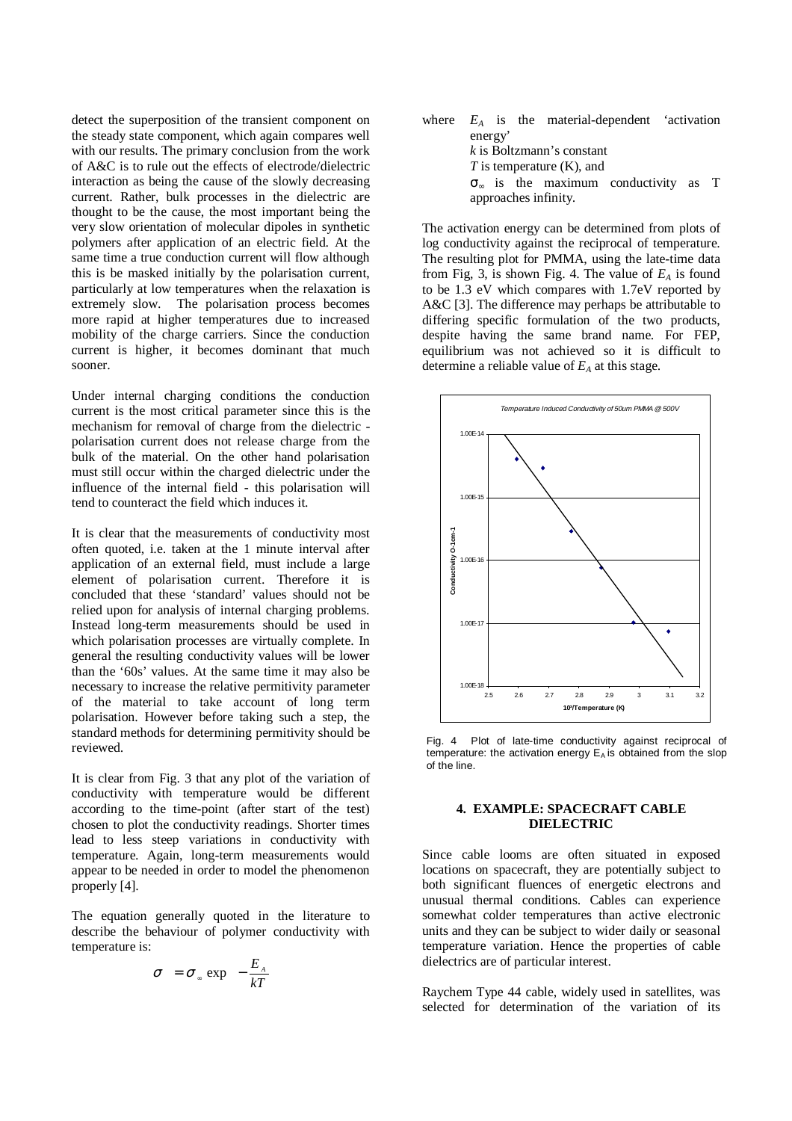detect the superposition of the transient component on the steady state component, which again compares well with our results. The primary conclusion from the work of A&C is to rule out the effects of electrode/dielectric interaction as being the cause of the slowly decreasing current. Rather, bulk processes in the dielectric are thought to be the cause, the most important being the very slow orientation of molecular dipoles in synthetic polymers after application of an electric field. At the same time a true conduction current will flow although this is be masked initially by the polarisation current, particularly at low temperatures when the relaxation is extremely slow. The polarisation process becomes more rapid at higher temperatures due to increased mobility of the charge carriers. Since the conduction current is higher, it becomes dominant that much sooner.

Under internal charging conditions the conduction current is the most critical parameter since this is the mechanism for removal of charge from the dielectric polarisation current does not release charge from the bulk of the material. On the other hand polarisation must still occur within the charged dielectric under the influence of the internal field - this polarisation will tend to counteract the field which induces it.

It is clear that the measurements of conductivity most often quoted, i.e. taken at the 1 minute interval after application of an external field, must include a large element of polarisation current. Therefore it is concluded that these 'standard' values should not be relied upon for analysis of internal charging problems. Instead long-term measurements should be used in which polarisation processes are virtually complete. In general the resulting conductivity values will be lower than the '60s' values. At the same time it may also be necessary to increase the relative permitivity parameter of the material to take account of long term polarisation. However before taking such a step, the standard methods for determining permitivity should be reviewed.

It is clear from Fig. 3 that any plot of the variation of conductivity with temperature would be different according to the time-point (after start of the test) chosen to plot the conductivity readings. Shorter times lead to less steep variations in conductivity with temperature. Again, long-term measurements would appear to be needed in order to model the phenomenon properly [4].

The equation generally quoted in the literature to describe the behaviour of polymer conductivity with temperature is:

$$
\sigma = \sigma_{\infty} \exp\left(-\frac{E_{A}}{kT}\right)
$$

where  $E_A$  is the material-dependent 'activation energy' *k* is Boltzmann's constant *T* is temperature (K), and  $\sigma_{\infty}$  is the maximum conductivity as T approaches infinity.

The activation energy can be determined from plots of log conductivity against the reciprocal of temperature. The resulting plot for PMMA, using the late-time data from Fig, 3, is shown Fig. 4. The value of  $E_A$  is found to be 1.3 eV which compares with 1.7eV reported by A&C [3]. The difference may perhaps be attributable to differing specific formulation of the two products, despite having the same brand name. For FEP, equilibrium was not achieved so it is difficult to determine a reliable value of *EA* at this stage.



Fig. 4 Plot of late-time conductivity against reciprocal of temperature: the activation energy  $E_A$  is obtained from the slop of the line.

### **4. EXAMPLE: SPACECRAFT CABLE DIELECTRIC**

Since cable looms are often situated in exposed locations on spacecraft, they are potentially subject to both significant fluences of energetic electrons and unusual thermal conditions. Cables can experience somewhat colder temperatures than active electronic units and they can be subject to wider daily or seasonal temperature variation. Hence the properties of cable dielectrics are of particular interest.

Raychem Type 44 cable, widely used in satellites, was selected for determination of the variation of its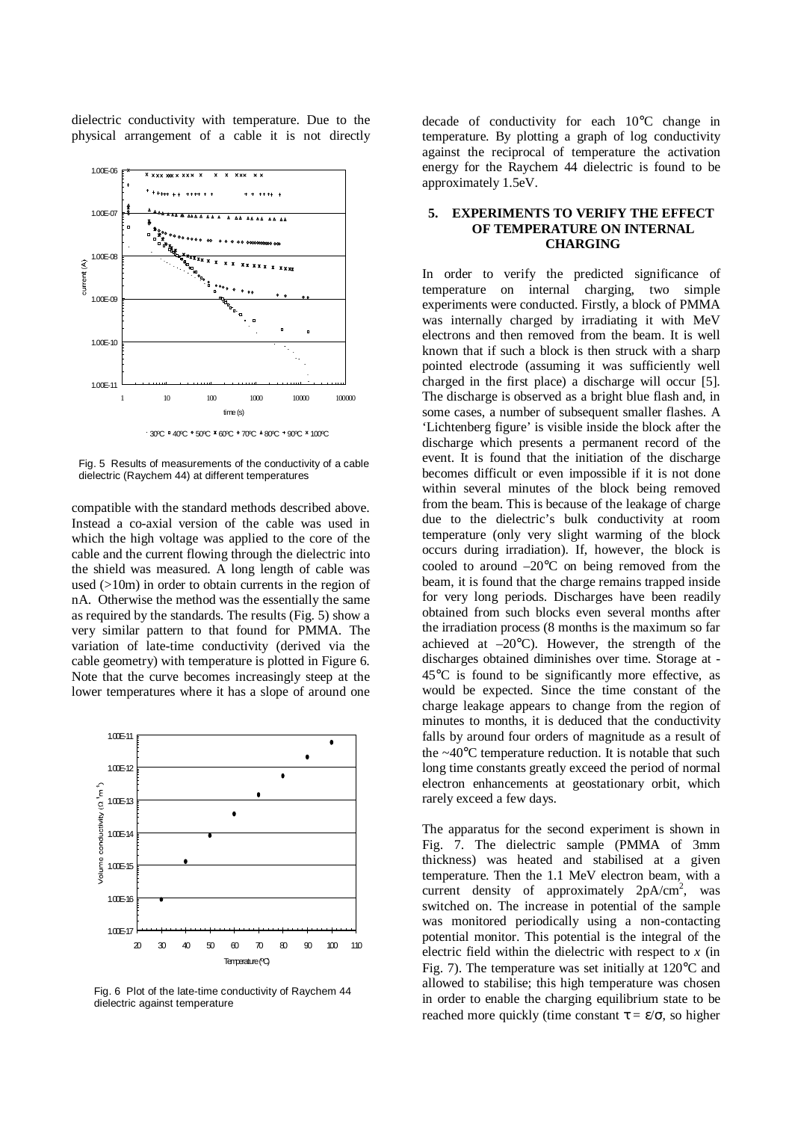dielectric conductivity with temperature. Due to the physical arrangement of a cable it is not directly



30ºC 40ºC 50ºC 60ºC 70ºC 80ºC 90ºC 100ºC

Fig. 5 Results of measurements of the conductivity of a cable dielectric (Raychem 44) at different temperatures

compatible with the standard methods described above. Instead a co-axial version of the cable was used in which the high voltage was applied to the core of the cable and the current flowing through the dielectric into the shield was measured. A long length of cable was used (>10m) in order to obtain currents in the region of nA. Otherwise the method was the essentially the same as required by the standards. The results (Fig. 5) show a very similar pattern to that found for PMMA. The variation of late-time conductivity (derived via the cable geometry) with temperature is plotted in Figure 6. Note that the curve becomes increasingly steep at the lower temperatures where it has a slope of around one



Fig. 6 Plot of the late-time conductivity of Raychem 44 dielectric against temperature

decade of conductivity for each 10°C change in temperature. By plotting a graph of log conductivity against the reciprocal of temperature the activation energy for the Raychem 44 dielectric is found to be approximately 1.5eV.

#### **5. EXPERIMENTS TO VERIFY THE EFFECT OF TEMPERATURE ON INTERNAL CHARGING**

In order to verify the predicted significance of temperature on internal charging, two simple experiments were conducted. Firstly, a block of PMMA was internally charged by irradiating it with MeV electrons and then removed from the beam. It is well known that if such a block is then struck with a sharp pointed electrode (assuming it was sufficiently well charged in the first place) a discharge will occur [5]. The discharge is observed as a bright blue flash and, in some cases, a number of subsequent smaller flashes. A 'Lichtenberg figure' is visible inside the block after the discharge which presents a permanent record of the event. It is found that the initiation of the discharge becomes difficult or even impossible if it is not done within several minutes of the block being removed from the beam. This is because of the leakage of charge due to the dielectric's bulk conductivity at room temperature (only very slight warming of the block occurs during irradiation). If, however, the block is cooled to around  $-20^{\circ}$ C on being removed from the beam, it is found that the charge remains trapped inside for very long periods. Discharges have been readily obtained from such blocks even several months after the irradiation process (8 months is the maximum so far achieved at  $-20^{\circ}$ C). However, the strength of the discharges obtained diminishes over time. Storage at - 45°C is found to be significantly more effective, as would be expected. Since the time constant of the charge leakage appears to change from the region of minutes to months, it is deduced that the conductivity falls by around four orders of magnitude as a result of the  $\sim$ 40 $\degree$ C temperature reduction. It is notable that such long time constants greatly exceed the period of normal electron enhancements at geostationary orbit, which rarely exceed a few days.

The apparatus for the second experiment is shown in Fig. 7. The dielectric sample (PMMA of 3mm thickness) was heated and stabilised at a given temperature. Then the 1.1 MeV electron beam, with a current density of approximately  $2pA/cm^2$ , was switched on. The increase in potential of the sample was monitored periodically using a non-contacting potential monitor. This potential is the integral of the electric field within the dielectric with respect to *x* (in Fig. 7). The temperature was set initially at 120°C and allowed to stabilise; this high temperature was chosen in order to enable the charging equilibrium state to be reached more quickly (time constant  $\tau = \varepsilon/\sigma$ , so higher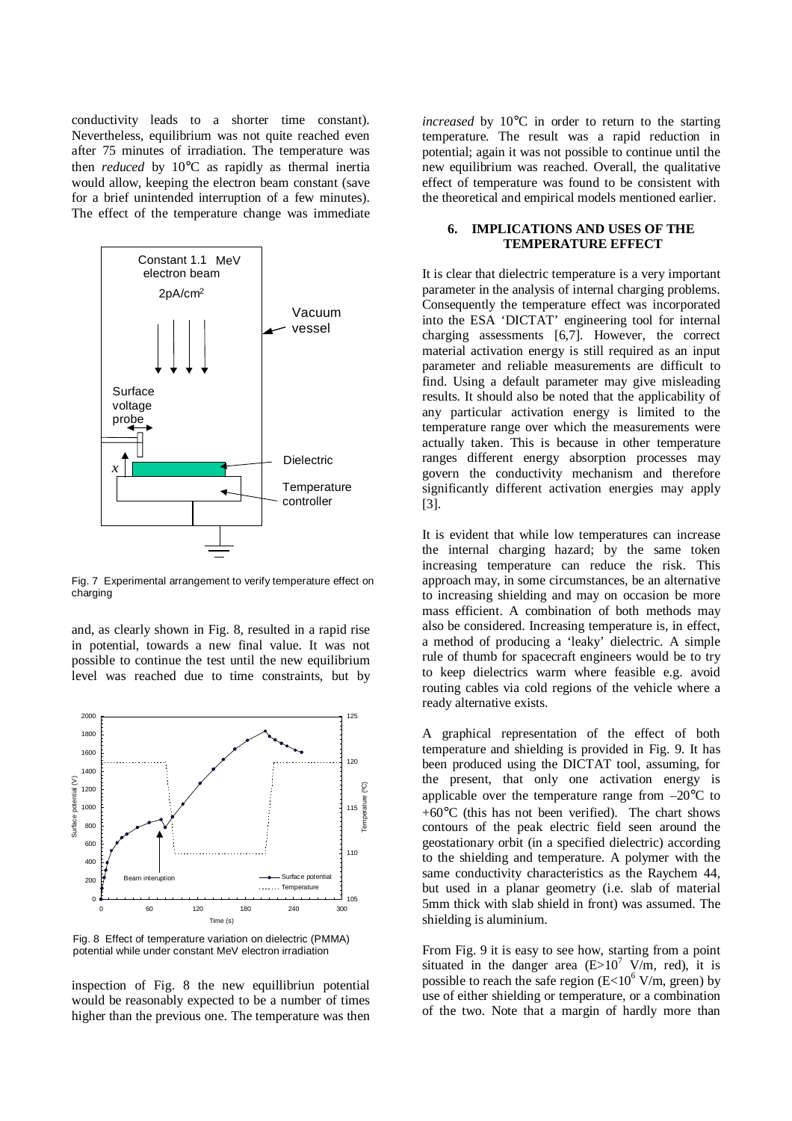conductivity leads to a shorter time constant). Nevertheless, equilibrium was not quite reached even after 75 minutes of irradiation. The temperature was then *reduced* by 10°C as rapidly as thermal inertia would allow, keeping the electron beam constant (save for a brief unintended interruption of a few minutes). The effect of the temperature change was immediate



Fig. 7 Experimental arrangement to verify temperature effect on charging

and, as clearly shown in Fig. 8, resulted in a rapid rise in potential, towards a new final value. It was not possible to continue the test until the new equilibrium level was reached due to time constraints, but by



Fig. 8 Effect of temperature variation on dielectric (PMMA) potential while under constant MeV electron irradiation

inspection of Fig. 8 the new equillibriun potential would be reasonably expected to be a number of times higher than the previous one. The temperature was then *increased* by 10°C in order to return to the starting temperature. The result was a rapid reduction in potential; again it was not possible to continue until the new equilibrium was reached. Overall, the qualitative effect of temperature was found to be consistent with the theoretical and empirical models mentioned earlier.

#### **6. IMPLICATIONS AND USES OF THE TEMPERATURE EFFECT**

It is clear that dielectric temperature is a very important parameter in the analysis of internal charging problems. Consequently the temperature effect was incorporated into the ESA 'DICTAT' engineering tool for internal charging assessments [6,7]. However, the correct material activation energy is still required as an input parameter and reliable measurements are difficult to find. Using a default parameter may give misleading results. It should also be noted that the applicability of any particular activation energy is limited to the temperature range over which the measurements were actually taken. This is because in other temperature ranges different energy absorption processes may govern the conductivity mechanism and therefore significantly different activation energies may apply [3].

It is evident that while low temperatures can increase the internal charging hazard; by the same token increasing temperature can reduce the risk. This approach may, in some circumstances, be an alternative to increasing shielding and may on occasion be more mass efficient. A combination of both methods may also be considered. Increasing temperature is, in effect, a method of producing a 'leaky' dielectric. A simple rule of thumb for spacecraft engineers would be to try to keep dielectrics warm where feasible e.g. avoid routing cables via cold regions of the vehicle where a ready alternative exists.

A graphical representation of the effect of both temperature and shielding is provided in Fig. 9. It has been produced using the DICTAT tool, assuming, for the present, that only one activation energy is applicable over the temperature range from  $-20^{\circ}$ C to +60°C (this has not been verified). The chart shows contours of the peak electric field seen around the geostationary orbit (in a specified dielectric) according to the shielding and temperature. A polymer with the same conductivity characteristics as the Raychem 44, but used in a planar geometry (i.e. slab of material 5mm thick with slab shield in front) was assumed. The shielding is aluminium.

From Fig. 9 it is easy to see how, starting from a point situated in the danger area  $(E>10^7 \text{ V/m}, \text{ red})$ , it is possible to reach the safe region  $(E<10^6$  V/m, green) by use of either shielding or temperature, or a combination of the two. Note that a margin of hardly more than